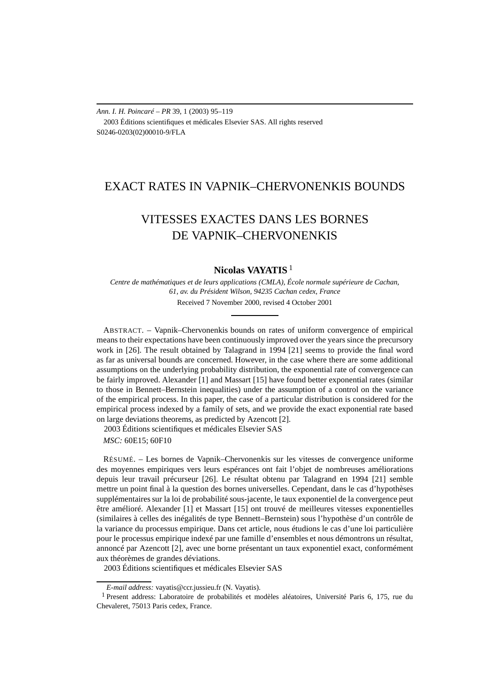*Ann. I. H. Poincaré – PR* 39, 1 (2003) 95–119 2003 Éditions scientifiques et médicales Elsevier SAS. All rights reserved S0246-0203(02)00010-9/FLA

## EXACT RATES IN VAPNIK–CHERVONENKIS BOUNDS

# VITESSES EXACTES DANS LES BORNES DE VAPNIK–CHERVONENKIS

## **Nicolas VAYATIS** <sup>1</sup>

*Centre de mathématiques et de leurs applications (CMLA), École normale supérieure de Cachan, 61, av. du Président Wilson, 94235 Cachan cedex, France* Received 7 November 2000, revised 4 October 2001

ABSTRACT. – Vapnik–Chervonenkis bounds on rates of uniform convergence of empirical means to their expectations have been continuously improved over the years since the precursory work in [26]. The result obtained by Talagrand in 1994 [21] seems to provide the final word as far as universal bounds are concerned. However, in the case where there are some additional assumptions on the underlying probability distribution, the exponential rate of convergence can be fairly improved. Alexander [1] and Massart [15] have found better exponential rates (similar to those in Bennett–Bernstein inequalities) under the assumption of a control on the variance of the empirical process. In this paper, the case of a particular distribution is considered for the empirical process indexed by a family of sets, and we provide the exact exponential rate based on large deviations theorems, as predicted by Azencott [2].

2003 Éditions scientifiques et médicales Elsevier SAS

*MSC:* 60E15; 60F10

RÉSUMÉ. – Les bornes de Vapnik–Chervonenkis sur les vitesses de convergence uniforme des moyennes empiriques vers leurs espérances ont fait l'objet de nombreuses améliorations depuis leur travail précurseur [26]. Le résultat obtenu par Talagrand en 1994 [21] semble mettre un point final à la question des bornes universelles. Cependant, dans le cas d'hypothèses supplémentaires sur la loi de probabilité sous-jacente, le taux exponentiel de la convergence peut être amélioré. Alexander [1] et Massart [15] ont trouvé de meilleures vitesses exponentielles (similaires à celles des inégalités de type Bennett–Bernstein) sous l'hypothèse d'un contrôle de la variance du processus empirique. Dans cet article, nous étudions le cas d'une loi particulière pour le processus empirique indexé par une famille d'ensembles et nous démontrons un résultat, annoncé par Azencott [2], avec une borne présentant un taux exponentiel exact, conformément aux théorèmes de grandes déviations.

2003 Éditions scientifiques et médicales Elsevier SAS

*E-mail address:* vayatis@ccr.jussieu.fr (N. Vayatis).

<sup>&</sup>lt;sup>1</sup> Present address: Laboratoire de probabilités et modèles aléatoires, Université Paris 6, 175, rue du Chevaleret, 75013 Paris cedex, France.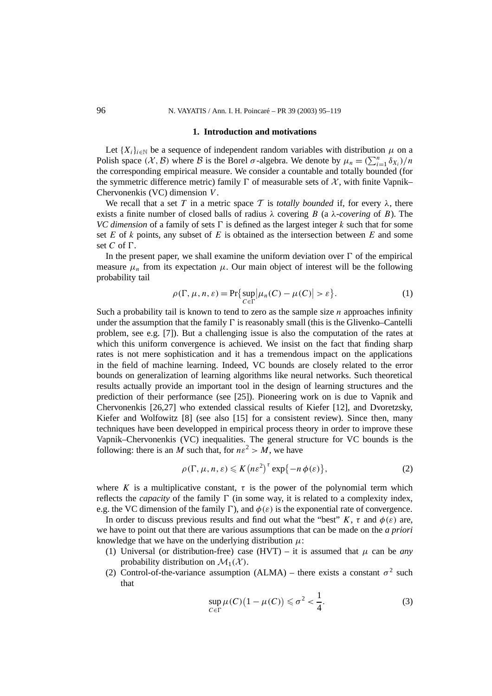#### **1. Introduction and motivations**

Let  ${X_i}_{i \in \mathbb{N}}$  be a sequence of independent random variables with distribution  $\mu$  on a Polish space  $(X, \mathcal{B})$  where  $\mathcal{B}$  is the Borel  $\sigma$ -algebra. We denote by  $\mu_n = (\sum_{i=1}^n \delta_{X_i})/n$ the corresponding empirical measure. We consider a countable and totally bounded (for the symmetric difference metric) family  $\Gamma$  of measurable sets of  $\mathcal{X}$ , with finite Vapnik– Chervonenkis (VC) dimension *V* .

We recall that a set T in a metric space T is *totally bounded* if, for every  $\lambda$ , there exists a finite number of closed balls of radius  $\lambda$  covering *B* (a  $\lambda$ *-covering* of *B*). The *VC dimension* of a family of sets  $\Gamma$  is defined as the largest integer *k* such that for some set *E* of *k* points, any subset of *E* is obtained as the intersection between *E* and some set  $C$  of  $\Gamma$ .

In the present paper, we shall examine the uniform deviation over  $\Gamma$  of the empirical measure  $\mu_n$  from its expectation  $\mu$ . Our main object of interest will be the following probability tail

$$
\rho(\Gamma, \mu, n, \varepsilon) = \Pr\{\sup_{C \in \Gamma} |\mu_n(C) - \mu(C)| > \varepsilon\}.
$$
 (1)

Such a probability tail is known to tend to zero as the sample size *n* approaches infinity under the assumption that the family  $\Gamma$  is reasonably small (this is the Glivenko–Cantelli problem, see e.g. [7]). But a challenging issue is also the computation of the rates at which this uniform convergence is achieved. We insist on the fact that finding sharp rates is not mere sophistication and it has a tremendous impact on the applications in the field of machine learning. Indeed, VC bounds are closely related to the error bounds on generalization of learning algorithms like neural networks. Such theoretical results actually provide an important tool in the design of learning structures and the prediction of their performance (see [25]). Pioneering work on is due to Vapnik and Chervonenkis [26,27] who extended classical results of Kiefer [12], and Dvoretzsky, Kiefer and Wolfowitz [8] (see also [15] for a consistent review). Since then, many techniques have been developped in empirical process theory in order to improve these Vapnik–Chervonenkis (VC) inequalities. The general structure for VC bounds is the following: there is an *M* such that, for  $n\varepsilon^2 > M$ , we have

$$
\rho(\Gamma, \mu, n, \varepsilon) \leqslant K \left( n \varepsilon^2 \right)^{\tau} \exp\{-n \, \phi(\varepsilon)\},\tag{2}
$$

where *K* is a multiplicative constant,  $\tau$  is the power of the polynomial term which reflects the *capacity* of the family  $\Gamma$  (in some way, it is related to a complexity index, e.g. the VC dimension of the family  $\Gamma$ ), and  $\phi(\varepsilon)$  is the exponential rate of convergence.

In order to discuss previous results and find out what the "best"  $K$ ,  $\tau$  and  $\phi(\varepsilon)$  are, we have to point out that there are various assumptions that can be made on the *a priori* knowledge that we have on the underlying distribution  $\mu$ :

- (1) Universal (or distribution-free) case (HVT) it is assumed that  $\mu$  can be *any* probability distribution on  $\mathcal{M}_1(\mathcal{X})$ .
- (2) Control-of-the-variance assumption (ALMA) there exists a constant  $\sigma^2$  such that

$$
\sup_{C \in \Gamma} \mu(C) \big( 1 - \mu(C) \big) \leq \sigma^2 < \frac{1}{4}.\tag{3}
$$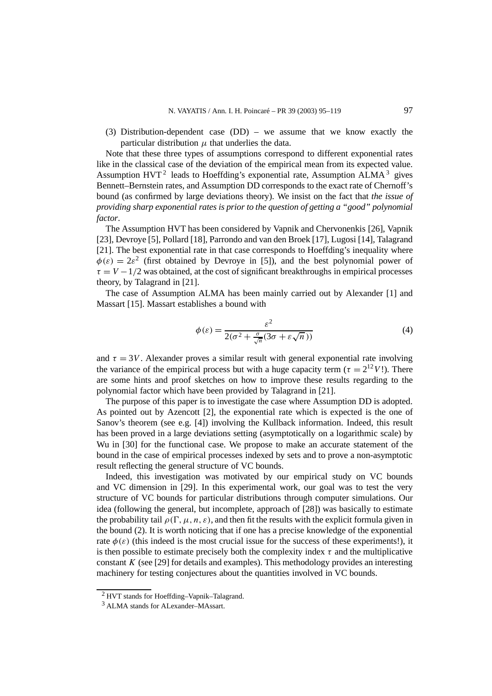(3) Distribution-dependent case (DD) – we assume that we know exactly the particular distribution  $\mu$  that underlies the data.

Note that these three types of assumptions correspond to different exponential rates like in the classical case of the deviation of the empirical mean from its expected value. Assumption  $HVT^2$  leads to Hoeffding's exponential rate, Assumption ALMA<sup>3</sup> gives Bennett–Bernstein rates, and Assumption DD corresponds to the exact rate of Chernoff's bound (as confirmed by large deviations theory). We insist on the fact that *the issue of providing sharp exponential rates is prior to the question of getting a "good" polynomial factor*.

The Assumption HVT has been considered by Vapnik and Chervonenkis [26], Vapnik [23], Devroye [5], Pollard [18], Parrondo and van den Broek [17], Lugosi [14], Talagrand [21]. The best exponential rate in that case corresponds to Hoeffding's inequality where  $\phi(\varepsilon) = 2\varepsilon^2$  (first obtained by Devroye in [5]), and the best polynomial power of  $\tau = V - 1/2$  was obtained, at the cost of significant breakthroughs in empirical processes theory, by Talagrand in [21].

The case of Assumption ALMA has been mainly carried out by Alexander [1] and Massart [15]. Massart establishes a bound with

$$
\phi(\varepsilon) = \frac{\varepsilon^2}{2(\sigma^2 + \frac{\sigma}{\sqrt{n}}(3\sigma + \varepsilon\sqrt{n}))}
$$
(4)

and  $\tau = 3V$ . Alexander proves a similar result with general exponential rate involving the variance of the empirical process but with a huge capacity term ( $\tau = 2^{12}V$ !). There are some hints and proof sketches on how to improve these results regarding to the polynomial factor which have been provided by Talagrand in [21].

The purpose of this paper is to investigate the case where Assumption DD is adopted. As pointed out by Azencott [2], the exponential rate which is expected is the one of Sanov's theorem (see e.g. [4]) involving the Kullback information. Indeed, this result has been proved in a large deviations setting (asymptotically on a logarithmic scale) by Wu in [30] for the functional case. We propose to make an accurate statement of the bound in the case of empirical processes indexed by sets and to prove a non-asymptotic result reflecting the general structure of VC bounds.

Indeed, this investigation was motivated by our empirical study on VC bounds and VC dimension in [29]. In this experimental work, our goal was to test the very structure of VC bounds for particular distributions through computer simulations. Our idea (following the general, but incomplete, approach of [28]) was basically to estimate the probability tail  $\rho(\Gamma, \mu, n, \varepsilon)$ , and then fit the results with the explicit formula given in the bound (2). It is worth noticing that if one has a precise knowledge of the exponential rate  $\phi(\varepsilon)$  (this indeed is the most crucial issue for the success of these experiments!), it is then possible to estimate precisely both the complexity index  $\tau$  and the multiplicative constant *K* (see [29] for details and examples). This methodology provides an interesting machinery for testing conjectures about the quantities involved in VC bounds.

<sup>2</sup> HVT stands for Hoeffding–Vapnik–Talagrand.

<sup>3</sup> ALMA stands for ALexander–MAssart.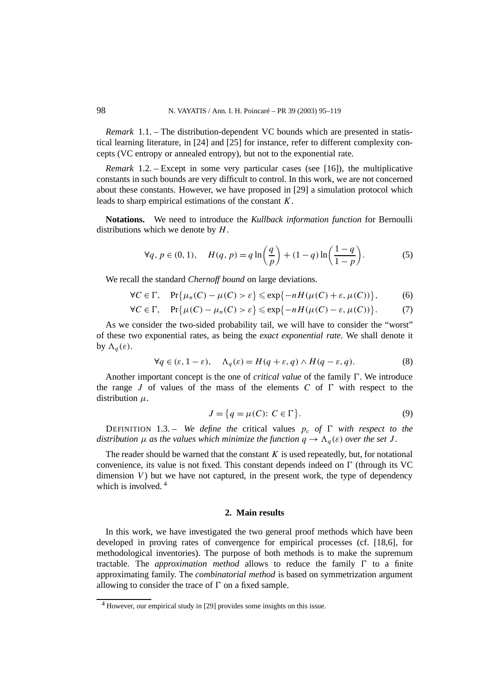*Remark* 1.1. – The distribution-dependent VC bounds which are presented in statistical learning literature, in [24] and [25] for instance, refer to different complexity concepts (VC entropy or annealed entropy), but not to the exponential rate.

*Remark* 1.2. – Except in some very particular cases (see [16]), the multiplicative constants in such bounds are very difficult to control. In this work, we are not concerned about these constants. However, we have proposed in [29] a simulation protocol which leads to sharp empirical estimations of the constant *K*.

**Notations.** We need to introduce the *Kullback information function* for Bernoulli distributions which we denote by *H*.

$$
\forall q, p \in (0, 1), \quad H(q, p) = q \ln \left( \frac{q}{p} \right) + (1 - q) \ln \left( \frac{1 - q}{1 - p} \right).
$$
 (5)

We recall the standard *Chernoff bound* on large deviations.

$$
\forall C \in \Gamma, \quad \Pr\{\mu_n(C) - \mu(C) > \varepsilon\} \leqslant \exp\{-nH(\mu(C) + \varepsilon, \mu(C))\},\tag{6}
$$

$$
\forall C \in \Gamma, \quad \Pr\{\mu(C) - \mu_n(C) > \varepsilon\} \leqslant \exp\{-nH(\mu(C) - \varepsilon, \mu(C))\}.\tag{7}
$$

As we consider the two-sided probability tail, we will have to consider the "worst" of these two exponential rates, as being the *exact exponential rate*. We shall denote it by  $\Lambda_a(\varepsilon)$ .

$$
\forall q \in (\varepsilon, 1 - \varepsilon), \quad \Lambda_q(\varepsilon) = H(q + \varepsilon, q) \wedge H(q - \varepsilon, q). \tag{8}
$$

Another important concept is the one of *critical value* of the family  $\Gamma$ . We introduce the range *J* of values of the mass of the elements *C* of  $\Gamma$  with respect to the distribution *µ*.

$$
J = \{q = \mu(C): C \in \Gamma\}.
$$
\n(9)

DEFINITION 1.3. – *We define the* critical values  $p_c$  *of*  $\Gamma$  *with respect to the distribution*  $\mu$  *as the values which minimize the function*  $q \rightarrow \Lambda_q(\varepsilon)$  *over the set J*.

The reader should be warned that the constant  $K$  is used repeatedly, but, for notational convenience, its value is not fixed. This constant depends indeed on  $\Gamma$  (through its VC dimension  $V$ ) but we have not captured, in the present work, the type of dependency which is involved  $4$ 

#### **2. Main results**

In this work, we have investigated the two general proof methods which have been developed in proving rates of convergence for empirical processes (cf. [18,6], for methodological inventories). The purpose of both methods is to make the supremum tractable. The *approximation method* allows to reduce the family  $\Gamma$  to a finite approximating family. The *combinatorial method* is based on symmetrization argument allowing to consider the trace of  $\Gamma$  on a fixed sample.

<sup>4</sup> However, our empirical study in [29] provides some insights on this issue.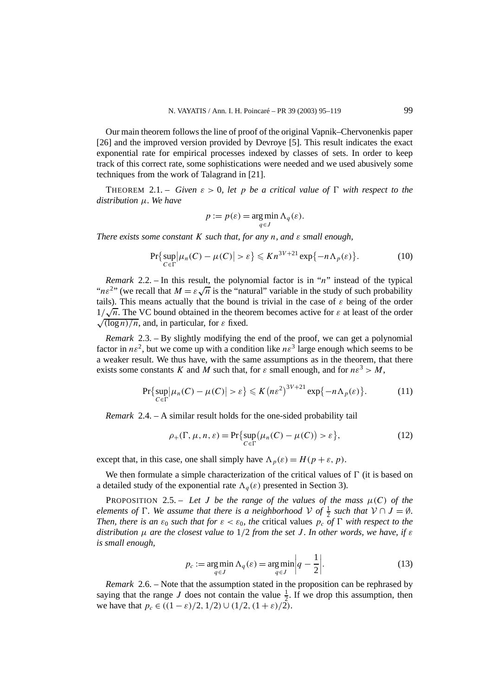Our main theorem follows the line of proof of the original Vapnik–Chervonenkis paper [26] and the improved version provided by Devroye [5]. This result indicates the exact exponential rate for empirical processes indexed by classes of sets. In order to keep track of this correct rate, some sophistications were needed and we used abusively some techniques from the work of Talagrand in [21].

**THEOREM** 2.1. – *Given*  $\varepsilon > 0$ , let *p* be a critical value of  $\Gamma$  with respect to the *distribution µ. We have*

$$
p := p(\varepsilon) = \underset{q \in J}{\arg \min} \Lambda_q(\varepsilon).
$$

*There exists some constant K such that, for any n, and ε small enough,*

$$
\Pr\{\sup_{C \in \Gamma} |\mu_n(C) - \mu(C)| > \varepsilon\} \leqslant Kn^{3V + 21} \exp\{-n\Lambda_p(\varepsilon)\}.
$$
 (10)

*Remark* 2.2. – In this result, the polynomial factor is in "*n*" instead of the typical *Remark 2.2.* – in this result, the polynomial factor is in *n* instead of the typical " $n\varepsilon^2$ " (we recall that  $M = \varepsilon \sqrt{n}$  is the "natural" variable in the study of such probability tails). This means actually that the bound is trivial in the case of  $\varepsilon$  being of the order tans). This means actually that the bound is trivial in the case of  $\varepsilon$  being of the order  $1/\sqrt{n}$ . The VC bound obtained in the theorem becomes active for  $\varepsilon$  at least of the order  $\sqrt{\frac{\log n}{n}}$ , and, in particular, for  $\varepsilon$  fixed.

*Remark* 2.3. – By slightly modifying the end of the proof, we can get a polynomial factor in  $n\varepsilon^2$ , but we come up with a condition like  $n\varepsilon^3$  large enough which seems to be a weaker result. We thus have, with the same assumptions as in the theorem, that there exists some constants *K* and *M* such that, for  $\varepsilon$  small enough, and for  $n\varepsilon^3 > M$ ,

$$
\Pr\{\sup_{C \in \Gamma} |\mu_n(C) - \mu(C)| > \varepsilon\} \leqslant K\left(n\varepsilon^2\right)^{3V+21} \exp\{-n\Lambda_p(\varepsilon)\}.\tag{11}
$$

*Remark* 2.4. – A similar result holds for the one-sided probability tail

$$
\rho_+(\Gamma, \mu, n, \varepsilon) = \Pr\{\sup_{C \in \Gamma} (\mu_n(C) - \mu(C)) > \varepsilon\},\tag{12}
$$

except that, in this case, one shall simply have  $\Lambda_p(\varepsilon) = H(p + \varepsilon, p)$ .

We then formulate a simple characterization of the critical values of  $\Gamma$  (it is based on a detailed study of the exponential rate  $\Lambda_q(\varepsilon)$  presented in Section 3).

PROPOSITION 2.5. – Let *J* be the range of the values of the mass  $\mu(C)$  of the *elements of*  $\Gamma$ *. We assume that there is a neighborhood*  $V$  *of*  $\frac{1}{2}$  *such that*  $V \cap J = \emptyset$ *. Then, there is an*  $\varepsilon_0$  *such that for*  $\varepsilon < \varepsilon_0$ *, the* critical values  $p_c$  *of*  $\Gamma$  *with respect to the distribution µ are the closest value to* 1*/*2 *from the set J . In other words, we have, if ε is small enough,*

$$
p_c := \underset{q \in J}{\arg \min} \Lambda_q(\varepsilon) = \underset{q \in J}{\arg \min} \left| q - \frac{1}{2} \right|.
$$
 (13)

*Remark* 2.6. – Note that the assumption stated in the proposition can be rephrased by saying that the range *J* does not contain the value  $\frac{1}{2}$ . If we drop this assumption, then we have that  $p_c \in ((1 - \varepsilon)/2, 1/2) \cup (1/2, (1 + \varepsilon)/2)$ .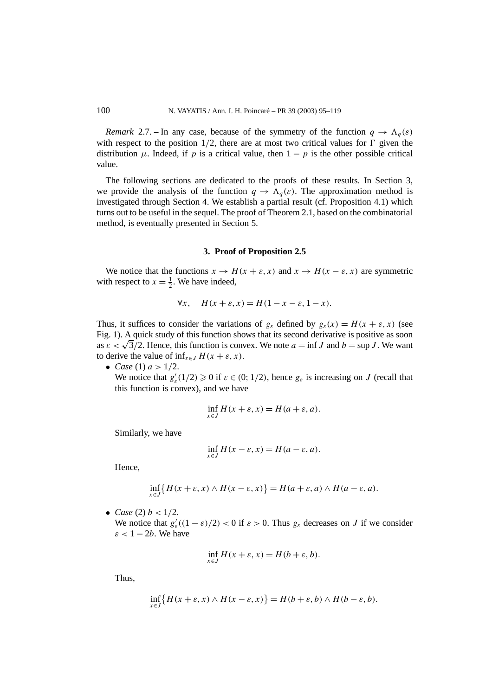*Remark* 2.7. – In any case, because of the symmetry of the function  $q \to \Lambda_q(\varepsilon)$ with respect to the position  $1/2$ , there are at most two critical values for  $\Gamma$  given the distribution  $\mu$ . Indeed, if p is a critical value, then  $1 - p$  is the other possible critical value.

The following sections are dedicated to the proofs of these results. In Section 3, we provide the analysis of the function  $q \to \Lambda_q(\varepsilon)$ . The approximation method is investigated through Section 4. We establish a partial result (cf. Proposition 4.1) which turns out to be useful in the sequel. The proof of Theorem 2.1, based on the combinatorial method, is eventually presented in Section 5.

#### **3. Proof of Proposition 2.5**

We notice that the functions  $x \to H(x + \varepsilon, x)$  and  $x \to H(x - \varepsilon, x)$  are symmetric with respect to  $x = \frac{1}{2}$ . We have indeed,

$$
\forall x, \quad H(x+\varepsilon, x) = H(1-x-\varepsilon, 1-x).
$$

Thus, it suffices to consider the variations of  $g_{\varepsilon}$  defined by  $g_{\varepsilon}(x) = H(x + \varepsilon, x)$  (see Fig. 1). A quick study of this function shows that its second derivative is positive as soon as  $\varepsilon < \sqrt{3}/2$ . Hence, this function is convex. We note  $a = \inf J$  and  $b = \sup J$ . We want to derive the value of  $\inf_{x \in J} H(x + \varepsilon, x)$ .

• *Case* (1)  $a > 1/2$ .

We notice that  $g'_{\varepsilon}(1/2) \ge 0$  if  $\varepsilon \in (0; 1/2)$ , hence  $g_{\varepsilon}$  is increasing on *J* (recall that this function is convex), and we have

$$
\inf_{x \in J} H(x + \varepsilon, x) = H(a + \varepsilon, a).
$$

Similarly, we have

$$
\inf_{x \in J} H(x - \varepsilon, x) = H(a - \varepsilon, a).
$$

Hence,

$$
\inf_{x \in J} \{ H(x + \varepsilon, x) \wedge H(x - \varepsilon, x) \} = H(a + \varepsilon, a) \wedge H(a - \varepsilon, a).
$$

• *Case* (2)  $b < 1/2$ . We notice that  $g'_{\varepsilon}((1 - \varepsilon)/2) < 0$  if  $\varepsilon > 0$ . Thus  $g_{\varepsilon}$  decreases on *J* if we consider  $\varepsilon$  < 1 – 2*b*. We have

$$
\inf_{x \in J} H(x + \varepsilon, x) = H(b + \varepsilon, b).
$$

Thus,

$$
\inf_{x \in J} \{ H(x + \varepsilon, x) \wedge H(x - \varepsilon, x) \} = H(b + \varepsilon, b) \wedge H(b - \varepsilon, b).
$$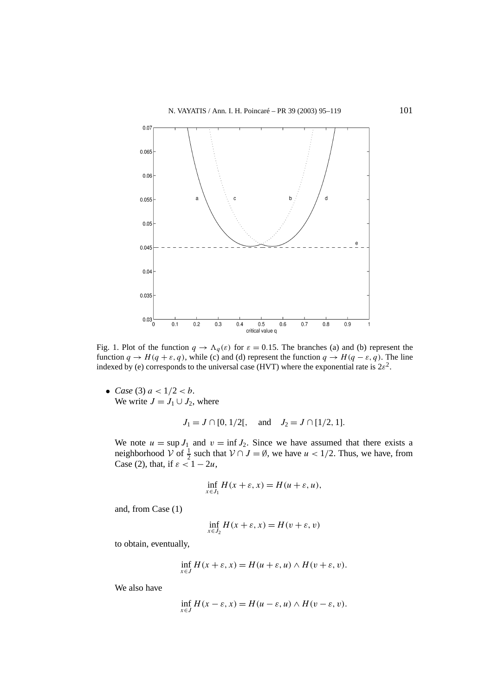

Fig. 1. Plot of the function  $q \to \Lambda_q(\varepsilon)$  for  $\varepsilon = 0.15$ . The branches (a) and (b) represent the function  $q \rightarrow H(q + \varepsilon, q)$ , while (c) and (d) represent the function  $q \rightarrow H(q - \varepsilon, q)$ . The line indexed by (e) corresponds to the universal case (HVT) where the exponential rate is  $2\varepsilon^2$ .

• *Case* (3)  $a < 1/2 < b$ . We write  $J = J_1 \cup J_2$ , where

$$
J_1 = J \cap [0, 1/2[,
$$
 and  $J_2 = J \cap [1/2, 1].$ 

We note  $u = \sup J_1$  and  $v = \inf J_2$ . Since we have assumed that there exists a neighborhood  $\mathcal V$  of  $\frac{1}{2}$  such that  $\mathcal V \cap J = \emptyset$ , we have  $u < 1/2$ . Thus, we have, from Case (2), that, if  $\varepsilon < 1 - 2u$ ,

$$
\inf_{x \in J_1} H(x + \varepsilon, x) = H(u + \varepsilon, u),
$$

and, from Case (1)

$$
\inf_{x \in J_2} H(x + \varepsilon, x) = H(v + \varepsilon, v)
$$

to obtain, eventually,

$$
\inf_{x \in J} H(x + \varepsilon, x) = H(u + \varepsilon, u) \wedge H(v + \varepsilon, v).
$$

We also have

$$
\inf_{x \in J} H(x - \varepsilon, x) = H(u - \varepsilon, u) \wedge H(v - \varepsilon, v).
$$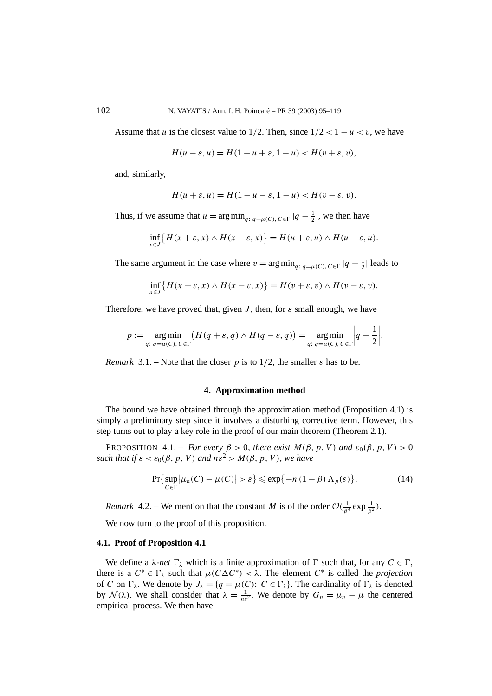Assume that *u* is the closest value to  $1/2$ . Then, since  $1/2 < 1 - u < v$ , we have

$$
H(u-\varepsilon, u) = H(1-u+\varepsilon, 1-u) < H(v+\varepsilon, v),
$$

and, similarly,

$$
H(u+\varepsilon, u) = H(1-u-\varepsilon, 1-u) < H(v-\varepsilon, v).
$$

Thus, if we assume that  $u = \arg \min_{q: q = \mu(C), C \in \Gamma} |q - \frac{1}{2}|$ , we then have

$$
\inf_{x \in J} \{ H(x + \varepsilon, x) \wedge H(x - \varepsilon, x) \} = H(u + \varepsilon, u) \wedge H(u - \varepsilon, u).
$$

The same argument in the case where  $v = \arg \min_{q: q = \mu(C), C \in \Gamma} |q - \frac{1}{2}|$  leads to

$$
\inf_{x \in J} \{ H(x + \varepsilon, x) \wedge H(x - \varepsilon, x) \} = H(v + \varepsilon, v) \wedge H(v - \varepsilon, v).
$$

Therefore, we have proved that, given *J*, then, for  $\varepsilon$  small enough, we have

$$
p := \underset{q: \ q = \mu(C), \ C \in \Gamma}{\arg \min} \left( H(q + \varepsilon, q) \wedge H(q - \varepsilon, q) \right) = \underset{q: \ q = \mu(C), \ C \in \Gamma}{\arg \min} \left| q - \frac{1}{2} \right|.
$$

*Remark* 3.1. – Note that the closer *p* is to 1/2, the smaller  $\varepsilon$  has to be.

## **4. Approximation method**

The bound we have obtained through the approximation method (Proposition 4.1) is simply a preliminary step since it involves a disturbing corrective term. However, this step turns out to play a key role in the proof of our main theorem (Theorem 2.1).

PROPOSITION 4.1. – *For every*  $\beta > 0$ *, there exist*  $M(\beta, p, V)$  *and*  $\varepsilon_0(\beta, p, V) > 0$ *such that if*  $\varepsilon < \varepsilon_0(\beta, p, V)$  *and*  $n\varepsilon^2 > M(\beta, p, V)$ *, we have* 

$$
\Pr\{\sup_{C \in \Gamma} |\mu_n(C) - \mu(C)| > \varepsilon\} \le \exp\{-n(1-\beta)\,\Lambda_p(\varepsilon)\}.
$$
 (14)

*Remark* 4.2. – We mention that the constant *M* is of the order  $O(\frac{1}{\beta^4} \exp{\frac{1}{\beta^2}})$ .

We now turn to the proof of this proposition.

#### **4.1. Proof of Proposition 4.1**

We define a *λ-net*  $\Gamma_{\lambda}$  which is a finite approximation of  $\Gamma$  such that, for any  $C \in \Gamma$ , there is a  $C^* \in \Gamma_\lambda$  such that  $\mu(C\Delta C^*) < \lambda$ . The element  $C^*$  is called the *projection* of *C* on  $\Gamma_{\lambda}$ . We denote by  $J_{\lambda} = \{q = \mu(C): C \in \Gamma_{\lambda}\}\)$ . The cardinality of  $\Gamma_{\lambda}$  is denoted by  $\mathcal{N}(\lambda)$ . We shall consider that  $\lambda = \frac{1}{n\epsilon^2}$ . We denote by  $G_n = \mu_n - \mu$  the centered empirical process. We then have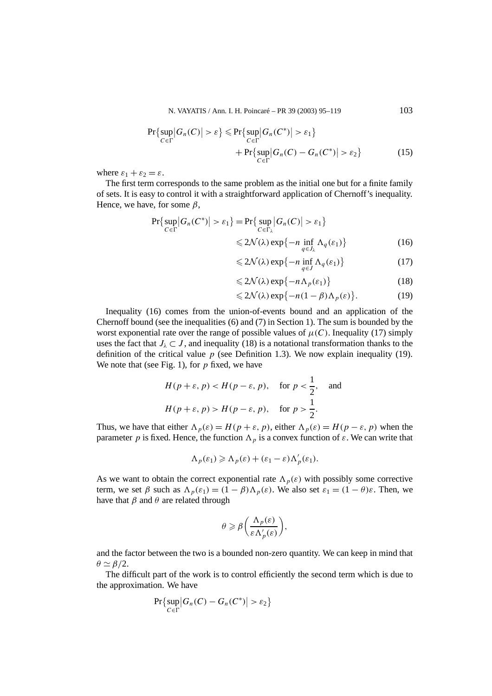N. VAYATIS / Ann. I. H. Poincaré – PR 39 (2003) 95–119 103

$$
\Pr\{\sup_{C \in \Gamma} |G_n(C)| > \varepsilon\} \le \Pr\{\sup_{C \in \Gamma} |G_n(C^*)| > \varepsilon_1\}
$$
  
+ 
$$
\Pr\{\sup_{C \in \Gamma} |G_n(C) - G_n(C^*)| > \varepsilon_2\}
$$
(15)

where  $\varepsilon_1 + \varepsilon_2 = \varepsilon$ .

The first term corresponds to the same problem as the initial one but for a finite family of sets. It is easy to control it with a straightforward application of Chernoff's inequality. Hence, we have, for some *β*,

$$
\Pr\{\sup_{C \in \Gamma} |G_n(C^*)| > \varepsilon_1\} = \Pr\{\sup_{C \in \Gamma_\lambda} |G_n(C)| > \varepsilon_1\}
$$
  
\$\leqslant 2\mathcal{N}(\lambda) \exp\{-n \inf\_{q \in J\_\lambda} \Lambda\_q(\varepsilon\_1)\}\$ (16)

$$
\leq 2\mathcal{N}(\lambda) \exp\{-n \inf_{q \in J} \Lambda_q(\varepsilon_1)\}\tag{17}
$$

$$
\leq 2\mathcal{N}(\lambda) \exp\{-n\Lambda_p(\varepsilon_1)\}\tag{18}
$$

$$
\leq 2\mathcal{N}(\lambda) \exp\{-n(1-\beta)\Lambda_p(\varepsilon)\}.
$$
 (19)

Inequality (16) comes from the union-of-events bound and an application of the Chernoff bound (see the inequalities (6) and (7) in Section 1). The sum is bounded by the worst exponential rate over the range of possible values of  $\mu(C)$ . Inequality (17) simply uses the fact that  $J_\lambda \subset J$ , and inequality (18) is a notational transformation thanks to the definition of the critical value  $p$  (see Definition 1.3). We now explain inequality (19). We note that (see Fig. 1), for *p* fixed, we have

$$
H(p+\varepsilon, p) < H(p-\varepsilon, p), \quad \text{for } p < \frac{1}{2}, \quad \text{and}
$$
\n
$$
H(p+\varepsilon, p) > H(p-\varepsilon, p), \quad \text{for } p > \frac{1}{2}.
$$

Thus, we have that either  $\Lambda_p(\varepsilon) = H(p + \varepsilon, p)$ , either  $\Lambda_p(\varepsilon) = H(p - \varepsilon, p)$  when the parameter *p* is fixed. Hence, the function  $\Lambda_p$  is a convex function of  $\varepsilon$ . We can write that

$$
\Lambda_p(\varepsilon_1) \geqslant \Lambda_p(\varepsilon) + (\varepsilon_1 - \varepsilon) \Lambda'_p(\varepsilon_1).
$$

As we want to obtain the correct exponential rate  $\Lambda_p(\varepsilon)$  with possibly some corrective term, we set  $\beta$  such as  $\Lambda_p(\varepsilon_1) = (1 - \beta)\Lambda_p(\varepsilon)$ . We also set  $\varepsilon_1 = (1 - \theta)\varepsilon$ . Then, we have that *β* and *θ* are related through

$$
\theta \geqslant \beta \bigg( \frac{\Lambda_p(\varepsilon)}{\varepsilon \Lambda'_p(\varepsilon)} \bigg),\,
$$

and the factor between the two is a bounded non-zero quantity. We can keep in mind that  $\theta \simeq \beta/2$ .

The difficult part of the work is to control efficiently the second term which is due to the approximation. We have

$$
\Pr\{\sup_{C\in\Gamma}|G_n(C)-G_n(C^*)|>\varepsilon_2\}
$$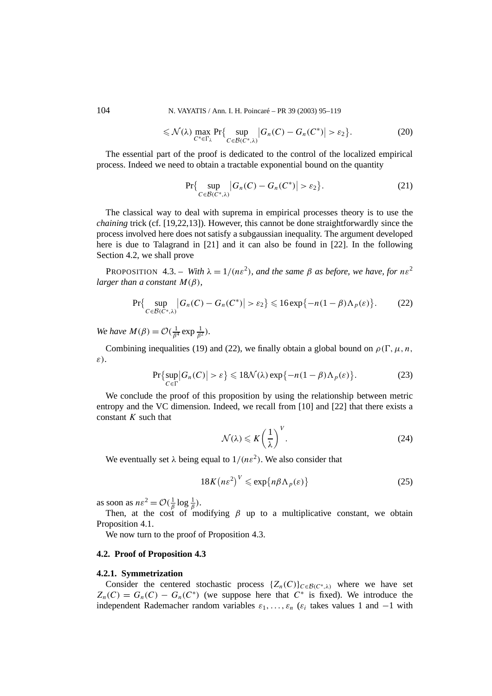104 N. VAYATIS / Ann. I. H. Poincaré – PR 39 (2003) 95–119

$$
\leqslant \mathcal{N}(\lambda) \max_{C^* \in \Gamma_{\lambda}} \Pr \{ \sup_{C \in \mathcal{B}(C^*, \lambda)} \left| G_n(C) - G_n(C^*) \right| > \varepsilon_2 \}. \tag{20}
$$

The essential part of the proof is dedicated to the control of the localized empirical process. Indeed we need to obtain a tractable exponential bound on the quantity

$$
\Pr\{\sup_{C \in \mathcal{B}(C^*,\lambda)} |G_n(C) - G_n(C^*)| > \varepsilon_2\}.
$$
\n(21)

The classical way to deal with suprema in empirical processes theory is to use the *chaining* trick (cf. [19,22,13]). However, this cannot be done straightforwardly since the process involved here does not satisfy a subgaussian inequality. The argument developed here is due to Talagrand in [21] and it can also be found in [22]. In the following Section 4.2, we shall prove

PROPOSITION 4.3. – *With*  $\lambda = 1/(n\epsilon^2)$ *, and the same*  $\beta$  *as before, we have, for*  $n\epsilon^2$ *larger than a constant*  $M(\beta)$ *,* 

$$
\Pr\{\sup_{C\in\mathcal{B}(C^*,\lambda)}|G_n(C)-G_n(C^*)|>\varepsilon_2\}\leqslant 16\exp\{-n(1-\beta)\Lambda_p(\varepsilon)\}.\tag{22}
$$

*We have*  $M(\beta) = O(\frac{1}{\beta^4} \exp{\frac{1}{\beta^2}})$ *.* 

Combining inequalities (19) and (22), we finally obtain a global bound on  $\rho(\Gamma, \mu, n, \mathcal{E})$ *ε)*.

$$
\Pr\{\sup_{C \in \Gamma} |G_n(C)| > \varepsilon\} \leq 18\mathcal{N}(\lambda) \exp\{-n(1-\beta)\Lambda_p(\varepsilon)\}.
$$
 (23)

We conclude the proof of this proposition by using the relationship between metric entropy and the VC dimension. Indeed, we recall from [10] and [22] that there exists a constant *K* such that

$$
\mathcal{N}(\lambda) \leqslant K \left(\frac{1}{\lambda}\right)^V.
$$
\n(24)

We eventually set  $\lambda$  being equal to  $1/(n\epsilon^2)$ . We also consider that

$$
18K\left(n\varepsilon^2\right)^V \leqslant \exp\{n\beta \Lambda_p(\varepsilon)\}\tag{25}
$$

as soon as  $n\epsilon^2 = \mathcal{O}(\frac{1}{\beta}\log\frac{1}{\beta})$ .

Then, at the cost of modifying  $\beta$  up to a multiplicative constant, we obtain Proposition 4.1.

We now turn to the proof of Proposition 4.3.

## **4.2. Proof of Proposition 4.3**

## **4.2.1. Symmetrization**

Consider the centered stochastic process  $\{Z_n(C)\}_{C \in \mathcal{B}(C^*,\lambda)}$  where we have set  $Z_n(C) = G_n(C) - G_n(C^*)$  (we suppose here that  $C^*$  is fixed). We introduce the independent Rademacher random variables  $\varepsilon_1, \ldots, \varepsilon_n$  ( $\varepsilon_i$  takes values 1 and  $-1$  with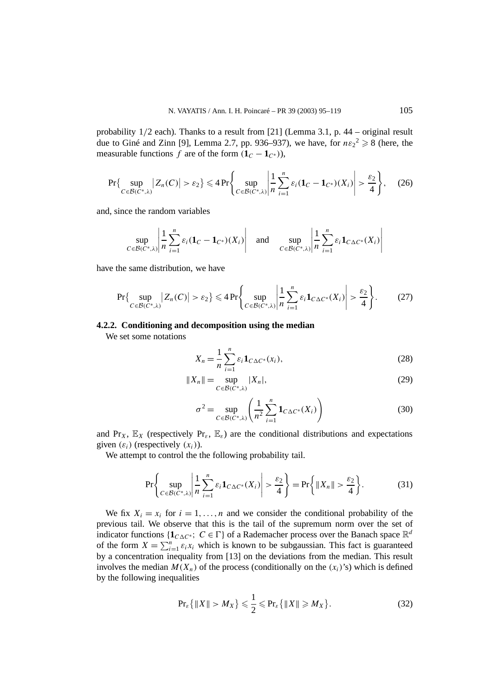probability 1*/*2 each). Thanks to a result from [21] (Lemma 3.1, p. 44 – original result due to Giné and Zinn [9], Lemma 2.7, pp. 936–937), we have, for  $n\varepsilon_2^2 \ge 8$  (here, the measurable functions *f* are of the form  $(1_C - 1_{C^*})$ ),

$$
\Pr\left\{\sup_{C\in\mathcal{B}(C^*,\lambda)}|Z_n(C)|>\varepsilon_2\right\}\leqslant 4\Pr\left\{\sup_{C\in\mathcal{B}(C^*,\lambda)}\left|\frac{1}{n}\sum_{i=1}^n\varepsilon_i(\mathbf{1}_C-\mathbf{1}_{C^*})(X_i)\right|>\frac{\varepsilon_2}{4}\right\},\quad(26)
$$

and, since the random variables

$$
\sup_{C \in \mathcal{B}(C^*,\lambda)} \left| \frac{1}{n} \sum_{i=1}^n \varepsilon_i (\mathbf{1}_C - \mathbf{1}_{C^*})(X_i) \right| \quad \text{and} \quad \sup_{C \in \mathcal{B}(C^*,\lambda)} \left| \frac{1}{n} \sum_{i=1}^n \varepsilon_i \mathbf{1}_{C \Delta C^*}(X_i) \right|
$$

have the same distribution, we have

$$
\Pr\left\{\sup_{C\in\mathcal{B}(C^*,\lambda)}|Z_n(C)|>\varepsilon_2\right\}\leqslant 4\Pr\left\{\sup_{C\in\mathcal{B}(C^*,\lambda)}\left|\frac{1}{n}\sum_{i=1}^n\varepsilon_i\mathbf{1}_{C\Delta C^*}(X_i)\right|>\frac{\varepsilon_2}{4}\right\}.\tag{27}
$$

#### **4.2.2. Conditioning and decomposition using the median**

We set some notations

$$
X_n = \frac{1}{n} \sum_{i=1}^n \varepsilon_i \mathbf{1}_{C \Delta C^*}(x_i),
$$
\n(28)

$$
||X_n|| = \sup_{C \in \mathcal{B}(C^*, \lambda)} |X_n|,
$$
 (29)

$$
\sigma^2 = \sup_{C \in \mathcal{B}(C^*,\lambda)} \left( \frac{1}{n^2} \sum_{i=1}^n \mathbf{1}_{C \Delta C^*}(X_i) \right)
$$
(30)

and Pr<sub>*X*</sub>,  $\mathbb{E}_X$  (respectively Pr<sub>*ε*</sub>,  $\mathbb{E}_\varepsilon$ ) are the conditional distributions and expectations given  $(\varepsilon_i)$  (respectively  $(x_i)$ ).

We attempt to control the the following probability tail.

$$
\Pr\left\{\sup_{C\in\mathcal{B}(C^*,\lambda)}\left|\frac{1}{n}\sum_{i=1}^n\varepsilon_i\mathbf{1}_{C\Delta C^*}(X_i)\right|>\frac{\varepsilon_2}{4}\right\}=\Pr\left\{\|X_n\|>\frac{\varepsilon_2}{4}\right\}.\tag{31}
$$

We fix  $X_i = x_i$  for  $i = 1, \ldots, n$  and we consider the conditional probability of the previous tail. We observe that this is the tail of the supremum norm over the set of indicator functions { $1_{C\Delta C^*}$ ; *C* ∈  $\Gamma$ } of a Rademacher process over the Banach space  $\mathbb{R}^d$ of the form  $X = \sum_{i=1}^{n} \varepsilon_i x_i$  which is known to be subgaussian. This fact is guaranteed by a concentration inequality from [13] on the deviations from the median. This result involves the median  $M(X_n)$  of the process (conditionally on the  $(x_i)$ 's) which is defined by the following inequalities

$$
\Pr_{\varepsilon}\left\{\|X\|>M_X\right\}\leqslant\frac{1}{2}\leqslant\Pr_{\varepsilon}\left\{\|X\|\geqslant M_X\right\}.\tag{32}
$$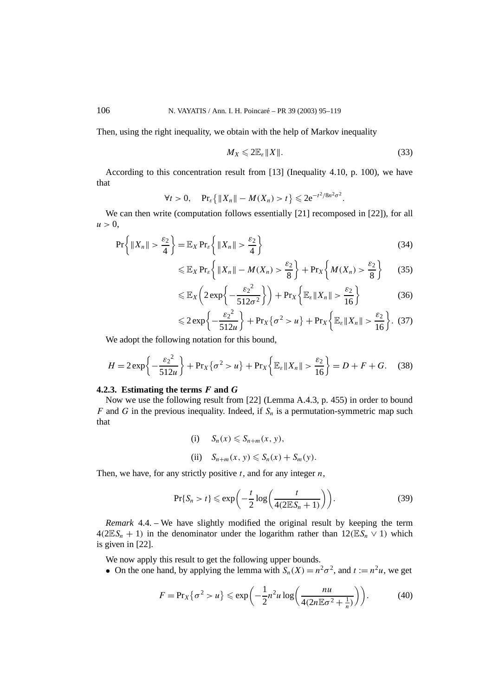Then, using the right inequality, we obtain with the help of Markov inequality

$$
M_X \leqslant 2\mathbb{E}_\varepsilon \|X\|.\tag{33}
$$

According to this concentration result from [13] (Inequality 4.10, p. 100), we have that

$$
\forall t > 0
$$
,  $\Pr_{\varepsilon} \{ \|X_n\| - M(X_n) > t \} \leq 2e^{-t^2/8n^2\sigma^2}$ .

We can then write (computation follows essentially [21] recomposed in [22]), for all  $u > 0$ ,

$$
\Pr\left\{ \|X_n\| > \frac{\varepsilon_2}{4} \right\} = \mathbb{E}_X \Pr_{\varepsilon} \left\{ \|X_n\| > \frac{\varepsilon_2}{4} \right\} \tag{34}
$$

$$
\leqslant \mathbb{E}_X \Pr_{\varepsilon} \left\{ \|X_n\| - M(X_n) > \frac{\varepsilon_2}{8} \right\} + \Pr_X \left\{ M(X_n) > \frac{\varepsilon_2}{8} \right\} \tag{35}
$$

$$
\leq \mathbb{E}_X \left( 2 \exp \left\{ -\frac{\varepsilon_2^2}{512\sigma^2} \right\} \right) + \Pr_X \left\{ \mathbb{E}_\varepsilon \| X_n \| > \frac{\varepsilon_2}{16} \right\} \tag{36}
$$

$$
\leqslant 2\exp\bigg\{-\frac{\varepsilon_2^2}{512u}\bigg\}+\Pr_X\big\{\sigma^2>u\big\}+\Pr_X\bigg\{\mathbb{E}_{\varepsilon}\|X_n\|>\frac{\varepsilon_2}{16}\bigg\}.\tag{37}
$$

We adopt the following notation for this bound,

$$
H = 2\exp\left\{-\frac{\varepsilon_2^2}{512u}\right\} + \Pr_X\{\sigma^2 > u\} + \Pr_X\left\{\mathbb{E}_{\varepsilon} \|X_n\| > \frac{\varepsilon_2}{16}\right\} = D + F + G. \quad (38)
$$

## **4.2.3. Estimating the terms** *F* **and** *G*

Now we use the following result from [22] (Lemma A.4.3, p. 455) in order to bound *F* and *G* in the previous inequality. Indeed, if  $S_n$  is a permutation-symmetric map such that

> (i)  $S_n(x) \leq S_{n+m}(x, y)$ , (ii)  $S_{n+m}(x, y) \leq S_n(x) + S_m(y)$ .

Then, we have, for any strictly positive *t*, and for any integer *n*,

$$
\Pr\{S_n > t\} \leqslant \exp\bigg(-\frac{t}{2}\log\bigg(\frac{t}{4(2\mathbb{E}S_n+1)}\bigg)\bigg). \tag{39}
$$

*Remark* 4.4. – We have slightly modified the original result by keeping the term  $4(2ES_n + 1)$  in the denominator under the logarithm rather than  $12(ES_n \vee 1)$  which is given in [22].

We now apply this result to get the following upper bounds.

• On the one hand, by applying the lemma with  $S_n(X) = n^2\sigma^2$ , and  $t := n^2u$ , we get

$$
F = \Pr_X\{\sigma^2 > u\} \le \exp\left(-\frac{1}{2}n^2u\log\left(\frac{nu}{4(2n\mathbb{E}\sigma^2 + \frac{1}{n})}\right)\right). \tag{40}
$$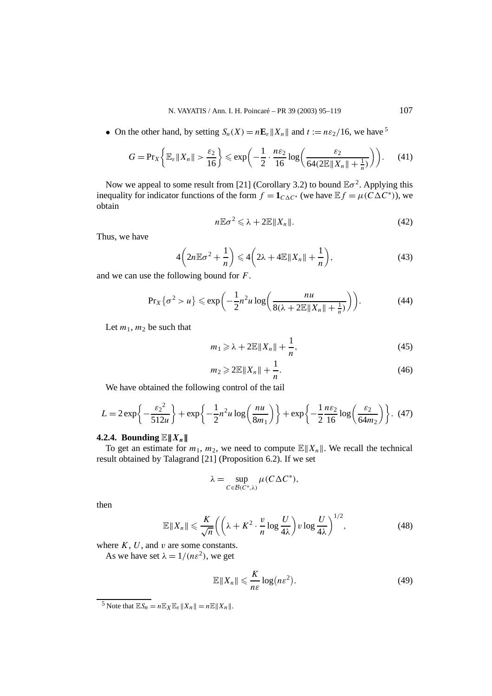• On the other hand, by setting  $S_n(X) = n\mathbf{E}_{\varepsilon} ||X_n||$  and  $t := n\varepsilon_2/16$ , we have <sup>5</sup>

$$
G = \Pr_X\left\{\mathbb{E}_{\varepsilon} \|X_n\| > \frac{\varepsilon_2}{16} \right\} \leqslant \exp\left(-\frac{1}{2} \cdot \frac{n\varepsilon_2}{16} \log\left(\frac{\varepsilon_2}{64(2\mathbb{E} \|X_n\| + \frac{1}{n})}\right)\right). \tag{41}
$$

Now we appeal to some result from [21] (Corollary 3.2) to bound  $\mathbb{E}\sigma^2$ . Applying this inequality for indicator functions of the form  $f = \mathbf{1}_{C\wedge C^*}$  (we have  $\mathbb{E} f = \mu(C\Delta C^*)$ ), we obtain

$$
n\mathbb{E}\sigma^2 \leqslant \lambda + 2\mathbb{E}\|X_n\|.\tag{42}
$$

Thus, we have

$$
4\left(2n\mathbb{E}\sigma^2+\frac{1}{n}\right)\leqslant 4\left(2\lambda+4\mathbb{E}\|X_n\|+\frac{1}{n}\right),\tag{43}
$$

and we can use the following bound for *F*.

$$
\Pr_X\{\sigma^2 > u\} \leqslant \exp\bigg(-\frac{1}{2}n^2u\log\bigg(\frac{nu}{8(\lambda + 2\mathbb{E}||X_n|| + \frac{1}{n})}\bigg)\bigg). \tag{44}
$$

Let  $m_1$ ,  $m_2$  be such that

$$
m_1 \geq \lambda + 2\mathbb{E} \|X_n\| + \frac{1}{n},\tag{45}
$$

$$
m_2 \geqslant 2\mathbb{E} \|X_n\| + \frac{1}{n}.\tag{46}
$$

We have obtained the following control of the tail

$$
L = 2\exp\left\{-\frac{\varepsilon_2^2}{512u}\right\} + \exp\left\{-\frac{1}{2}n^2u\log\left(\frac{nu}{8m_1}\right)\right\} + \exp\left\{-\frac{1}{2}\frac{n\varepsilon_2}{16}\log\left(\frac{\varepsilon_2}{64m_2}\right)\right\}.
$$
 (47)

## **4.2.4.** Bounding  $\mathbb{E} \parallel X_n \parallel$

To get an estimate for  $m_1$ ,  $m_2$ , we need to compute  $\mathbb{E} ||X_n||$ . We recall the technical result obtained by Talagrand [21] (Proposition 6.2). If we set

$$
\lambda = \sup_{C \in \mathcal{B}(C^*,\lambda)} \mu(C\Delta C^*),
$$

then

$$
\mathbb{E}\|X_n\| \leqslant \frac{K}{\sqrt{n}} \bigg( \bigg( \lambda + K^2 \cdot \frac{v}{n} \log \frac{U}{4\lambda} \bigg) v \log \frac{U}{4\lambda} \bigg)^{1/2},\tag{48}
$$

where *K*, *U*, and *v* are some constants.

As we have set  $\lambda = 1/(n\epsilon^2)$ , we get

$$
\mathbb{E}\|X_n\| \leqslant \frac{K}{n\varepsilon} \log(n\varepsilon^2). \tag{49}
$$

 $\frac{5}{5}$  Note that  $\mathbb{E}S_n = n\mathbb{E}_X\mathbb{E}_\varepsilon||X_n|| = n\mathbb{E}||X_n||$ .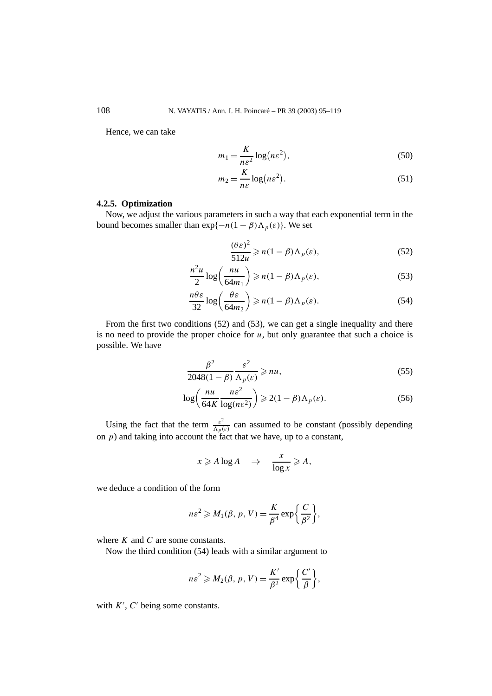Hence, we can take

$$
m_1 = \frac{K}{n\varepsilon^2} \log(n\varepsilon^2),\tag{50}
$$

$$
m_2 = \frac{K}{n\varepsilon} \log(n\varepsilon^2). \tag{51}
$$

## **4.2.5. Optimization**

Now, we adjust the various parameters in such a way that each exponential term in the bound becomes smaller than  $exp{-n(1 - \beta)\Lambda_p(\varepsilon)}$ . We set

$$
\frac{(\theta \varepsilon)^2}{512u} \geqslant n(1-\beta)\Lambda_p(\varepsilon),\tag{52}
$$

$$
\frac{n^2u}{2}\log\left(\frac{nu}{64m_1}\right) \geqslant n(1-\beta)\Lambda_p(\varepsilon),\tag{53}
$$

$$
\frac{n\theta\varepsilon}{32}\log\left(\frac{\theta\varepsilon}{64m_2}\right) \ge n(1-\beta)\Lambda_p(\varepsilon). \tag{54}
$$

From the first two conditions (52) and (53), we can get a single inequality and there is no need to provide the proper choice for  $u$ , but only guarantee that such a choice is possible. We have

$$
\frac{\beta^2}{2048(1-\beta)} \frac{\varepsilon^2}{\Lambda_p(\varepsilon)} \ge n u,\tag{55}
$$

$$
\log\left(\frac{nu}{64K}\frac{ne^2}{\log(ne^2)}\right) \ge 2(1-\beta)\Lambda_p(\varepsilon). \tag{56}
$$

Using the fact that the term  $\frac{\varepsilon^2}{\Lambda_p(\varepsilon)}$  can assumed to be constant (possibly depending on *p*) and taking into account the fact that we have, up to a constant,

$$
x \geqslant A \log A \quad \Rightarrow \quad \frac{x}{\log x} \geqslant A,
$$

we deduce a condition of the form

$$
n\varepsilon^2 \geqslant M_1(\beta, p, V) = \frac{K}{\beta^4} \exp\bigg{\frac{C}{\beta^2}\bigg},
$$

where *K* and *C* are some constants.

Now the third condition (54) leads with a similar argument to

$$
n\varepsilon^2 \geqslant M_2(\beta, p, V) = \frac{K'}{\beta^2} \exp\bigg{\frac{C'}{\beta}\bigg},
$$

with  $K'$ ,  $C'$  being some constants.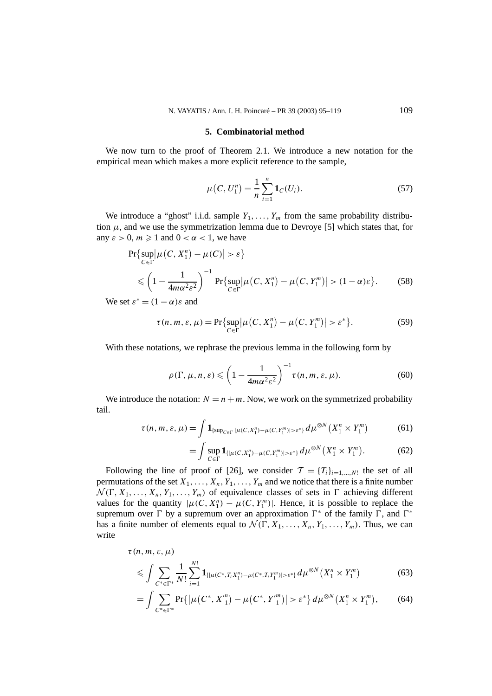## **5. Combinatorial method**

We now turn to the proof of Theorem 2.1. We introduce a new notation for the empirical mean which makes a more explicit reference to the sample,

$$
\mu(C, U_1^n) = \frac{1}{n} \sum_{i=1}^n \mathbf{1}_C(U_i). \tag{57}
$$

We introduce a "ghost" i.i.d. sample  $Y_1, \ldots, Y_m$  from the same probability distribution  $\mu$ , and we use the symmetrization lemma due to Devroye [5] which states that, for any  $\varepsilon > 0$ ,  $m \ge 1$  and  $0 < \alpha < 1$ , we have

$$
\Pr\{\sup_{C \in \Gamma} |\mu(C, X_1^n) - \mu(C)| > \varepsilon\}
$$
  
\$\leqslant \left(1 - \frac{1}{4m\alpha^2 \varepsilon^2}\right)^{-1} \Pr\{\sup\_{C \in \Gamma} |\mu(C, X\_1^n) - \mu(C, Y\_1^m)| > (1 - \alpha)\varepsilon\}. \tag{58}

We set  $\varepsilon^* = (1 - \alpha)\varepsilon$  and

$$
\tau(n, m, \varepsilon, \mu) = \Pr\{\sup_{C \in \Gamma} |\mu(C, X_1^n) - \mu(C, Y_1^m)| > \varepsilon^*\}.
$$
 (59)

With these notations, we rephrase the previous lemma in the following form by

$$
\rho(\Gamma, \mu, n, \varepsilon) \leqslant \left(1 - \frac{1}{4m\alpha^2 \varepsilon^2}\right)^{-1} \tau(n, m, \varepsilon, \mu).
$$
 (60)

We introduce the notation:  $N = n + m$ . Now, we work on the symmetrized probability tail.

$$
\tau(n, m, \varepsilon, \mu) = \int \mathbf{1}_{\{\sup_{C \in \Gamma} |\mu(C, X_1^n) - \mu(C, Y_1^m)| > \varepsilon^*\}} d\mu^{\otimes N}(X_1^n \times Y_1^m) \tag{61}
$$

$$
= \int \sup_{C \in \Gamma} \mathbf{1}_{\{|\mu(C, X_1^n) - \mu(C, Y_1^m)| > \varepsilon^* \}} d\mu^{\otimes N}(X_1^n \times Y_1^m). \tag{62}
$$

Following the line of proof of [26], we consider  $\mathcal{T} = \{T_i\}_{i=1,\dots,N!}$  the set of all permutations of the set  $X_1, \ldots, X_n, Y_1, \ldots, Y_m$  and we notice that there is a finite number  $\mathcal{N}(\Gamma, X_1, \ldots, X_n, Y_1, \ldots, Y_m)$  of equivalence classes of sets in  $\Gamma$  achieving different values for the quantity  $|\mu(C, X_1^n) - \mu(C, Y_1^m)|$ . Hence, it is possible to replace the supremum over  $\Gamma$  by a supremum over an approximation  $\Gamma^*$  of the family  $\Gamma$ , and  $\Gamma^*$ has a finite number of elements equal to  $\mathcal{N}(\Gamma, X_1, \ldots, X_n, Y_1, \ldots, Y_m)$ . Thus, we can write

$$
\tau(n, m, \varepsilon, \mu) \le \int \sum_{C^* \in \Gamma^*} \frac{1}{N!} \sum_{i=1}^{N!} \mathbf{1}_{\{|\mu(C^*, T_i X_1^n) - \mu(C^*, T_i Y_1^m)| > \varepsilon^*\}} d\mu^{\otimes N}(X_1^n \times Y_1^m) \tag{63}
$$

$$
= \int \sum_{C^* \in \Gamma^*} \Pr\{|\mu(C^*, X_1''') - \mu(C^*, Y_1''')| > \varepsilon^* \} d\mu^{\otimes N}(X_1^n \times Y_1^m), \tag{64}
$$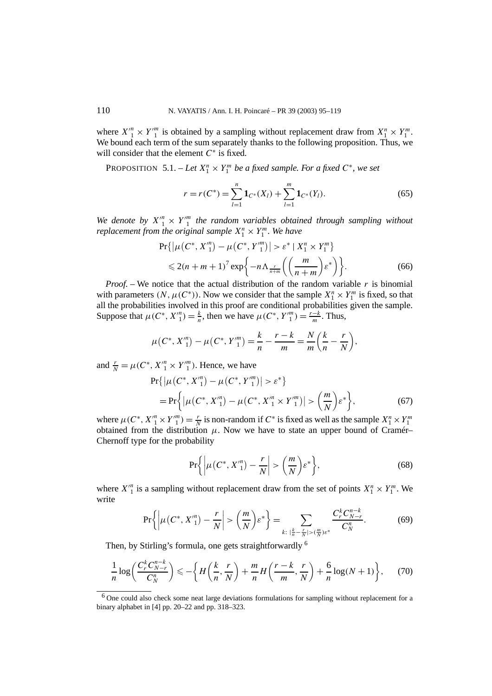where  $X''_1 \times Y''_1$  is obtained by a sampling without replacement draw from  $X_1^n \times Y_1^m$ . We bound each term of the sum separately thanks to the following proposition. Thus, we will consider that the element *C*<sup>∗</sup> is fixed.

PROPOSITION 5.1. – Let  $X_1^n \times Y_1^m$  be a fixed sample. For a fixed  $C^*$ , we set

$$
r = r(C^*) = \sum_{l=1}^{n} \mathbf{1}_{C^*}(X_l) + \sum_{l=1}^{m} \mathbf{1}_{C^*}(Y_l). \tag{65}
$$

*We denote by*  $X_1^m \times Y_1^m$  the random variables obtained through sampling without *replacement from the original sample*  $X_1^n \times Y_1^m$ *. We have* 

$$
\Pr\{| \mu(C^*, X'^n) - \mu(C^*, Y''^n) | > \varepsilon^* | X^n_1 \times Y^n_1 \} \n\leq 2(n+m+1)^7 \exp\{-n \Lambda_{\frac{r}{n+m}}\left(\left(\frac{m}{n+m}\right)\varepsilon^*\right)\}.
$$
\n(66)

*Proof.* – We notice that the actual distribution of the random variable  $r$  is binomial with parameters  $(N, \mu(C^*))$ . Now we consider that the sample  $X_1^n \times Y_1^m$  is fixed, so that all the probabilities involved in this proof are conditional probabilities given the sample. Suppose that  $\mu(C^*, X'^n) = \frac{k}{n}$ , then we have  $\mu(C^*, Y'^m) = \frac{r-k}{m}$ . Thus,

$$
\mu(C^*, X_1^m) - \mu(C^*, Y_1^m) = \frac{k}{n} - \frac{r - k}{m} = \frac{N}{m} \left( \frac{k}{n} - \frac{r}{N} \right),
$$

and  $\frac{r}{N} = \mu(C^*, X'^n \times Y'^m)$ . Hence, we have

$$
\Pr\{| \mu(C^*, X'^n) - \mu(C^*, Y''^n) | > \varepsilon^* \}
$$
  
= 
$$
\Pr\{| \mu(C^*, X'^n) - \mu(C^*, X''^n \times Y''^n) | > \left(\frac{m}{N}\right) \varepsilon^* \},
$$
 (67)

where  $\mu(C^*, X_1^m \times Y_1^m) = \frac{r}{N}$  is non-random if  $C^*$  is fixed as well as the sample  $X_1^n \times Y_1^m$ obtained from the distribution  $\mu$ . Now we have to state an upper bound of Cramér– Chernoff type for the probability

$$
\Pr\bigg\{\bigg|\mu\big(C^*, X'^n_1\big)-\frac{r}{N}\bigg| > \bigg(\frac{m}{N}\bigg)\varepsilon^*\bigg\},\tag{68}
$$

where  $X_1^n$  is a sampling without replacement draw from the set of points  $X_1^n \times Y_1^m$ . We write

$$
\Pr\left\{ \left| \mu(C^*, X_1''') - \frac{r}{N} \right| > \left(\frac{m}{N}\right) \varepsilon^* \right\} = \sum_{k:\ |\frac{k}{n} - \frac{r}{N}| > (\frac{m}{N}) \varepsilon^*} \frac{C_r^k C_{N-r}^{n-k}}{C_N^n}.
$$
 (69)

Then, by Stirling's formula, one gets straightforwardly <sup>6</sup>

$$
\frac{1}{n}\log\left(\frac{C_r^k C_{N-r}^{n-k}}{C_N^n}\right) \leqslant -\bigg\{H\bigg(\frac{k}{n},\frac{r}{N}\bigg) + \frac{m}{n}H\bigg(\frac{r-k}{m},\frac{r}{N}\bigg) + \frac{6}{n}\log(N+1)\bigg\},\tag{70}
$$

<sup>6</sup> One could also check some neat large deviations formulations for sampling without replacement for a binary alphabet in [4] pp. 20–22 and pp. 318–323.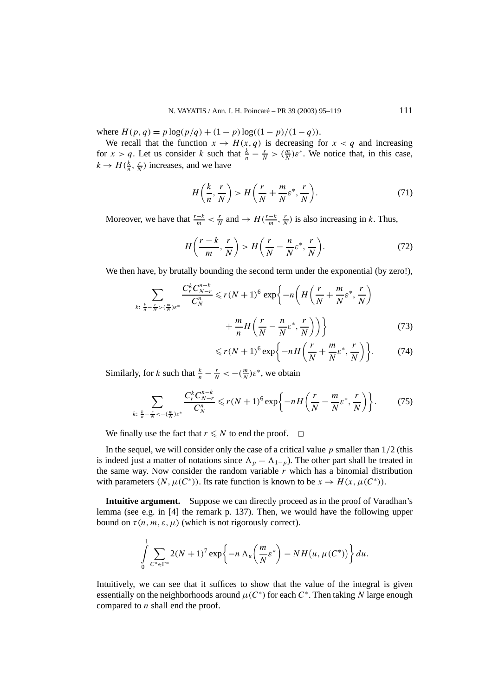where  $H(p,q) = p \log(p/q) + (1-p) \log((1-p)/(1-q))$ .

We recall that the function  $x \to H(x, q)$  is decreasing for  $x < q$  and increasing for  $x > q$ . Let us consider *k* such that  $\frac{k}{n} - \frac{r}{N} > (\frac{m}{N})\varepsilon^*$ . We notice that, in this case,  $k \rightarrow H(\frac{k}{n}, \frac{r}{N})$  increases, and we have

$$
H\left(\frac{k}{n},\frac{r}{N}\right) > H\left(\frac{r}{N} + \frac{m}{N}\varepsilon^*,\frac{r}{N}\right). \tag{71}
$$

Moreover, we have that  $\frac{r-k}{m} < \frac{r}{N}$  and  $\rightarrow H(\frac{r-k}{m}, \frac{r}{N})$  is also increasing in *k*. Thus,

$$
H\left(\frac{r-k}{m},\frac{r}{N}\right) > H\left(\frac{r}{N}-\frac{n}{N}\varepsilon^*,\frac{r}{N}\right). \tag{72}
$$

We then have, by brutally bounding the second term under the exponential (by zero!),

$$
\sum_{k:\frac{k}{n}-\frac{r}{N} > (\frac{m}{N})\varepsilon^*} \frac{C_r^k C_{N-r}^{n-k}}{C_N^n} \le r(N+1)^6 \exp\left\{-n\left(H\left(\frac{r}{N} + \frac{m}{N}\varepsilon^*, \frac{r}{N}\right)\right) + \frac{m}{n}H\left(\frac{r}{N} - \frac{n}{N}\varepsilon^*, \frac{r}{N}\right)\right)\right\}
$$
(73)

$$
\leqslant r(N+1)^6 \exp\bigg\{-nH\bigg(\frac{r}{N}+\frac{m}{N}\varepsilon^*,\frac{r}{N}\bigg)\bigg\}.\tag{74}
$$

Similarly, for *k* such that  $\frac{k}{n} - \frac{r}{N} < -(\frac{m}{N})\varepsilon^*$ , we obtain

$$
\sum_{k:\ \frac{k}{n}-\frac{r}{N}<-(\frac{m}{N})\varepsilon^*}\frac{C_r^k C_{N-r}^{n-k}}{C_N^n}\leqslant r(N+1)^6\exp\bigg\{-nH\bigg(\frac{r}{N}-\frac{m}{N}\varepsilon^*,\frac{r}{N}\bigg)\bigg\}.\tag{75}
$$

We finally use the fact that  $r \leq N$  to end the proof.  $\Box$ 

In the sequel, we will consider only the case of a critical value *p* smaller than 1*/*2 (this is indeed just a matter of notations since  $\Lambda_p = \Lambda_{1-p}$ ). The other part shall be treated in the same way. Now consider the random variable *r* which has a binomial distribution with parameters  $(N, \mu(C^*))$ . Its rate function is known to be  $x \to H(x, \mu(C^*))$ .

**Intuitive argument.** Suppose we can directly proceed as in the proof of Varadhan's lemma (see e.g. in [4] the remark p. 137). Then, we would have the following upper bound on  $\tau(n, m, \varepsilon, \mu)$  (which is not rigorously correct).

$$
\int\limits_{0}^{1}\sum\limits_{C^*\in\Gamma^*} 2(N+1)^7\exp\biggl\{-n\,\Lambda_u\biggl(\frac{m}{N}\varepsilon^*\biggr)-NH\bigl(u,\mu(C^*)\bigr)\biggr\}\,du.
$$

Intuitively, we can see that it suffices to show that the value of the integral is given essentially on the neighborhoods around  $\mu(C^*)$  for each  $C^*$ . Then taking *N* large enough compared to *n* shall end the proof.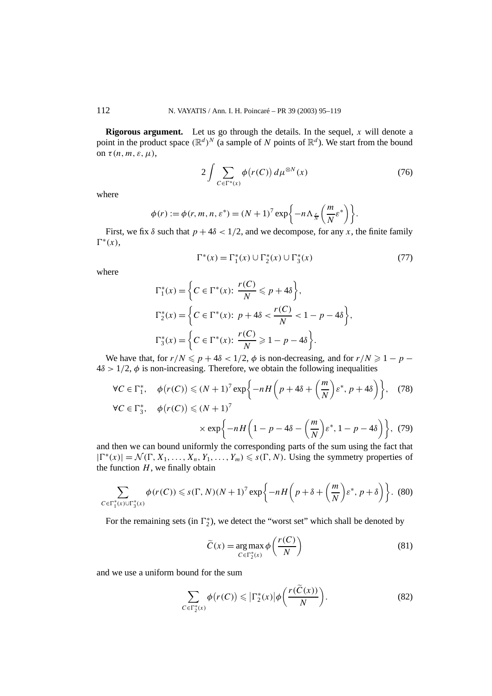**Rigorous argument.** Let us go through the details. In the sequel, *x* will denote a point in the product space  $(\mathbb{R}^d)^N$  (a sample of *N* points of  $\mathbb{R}^d$ ). We start from the bound on *τ (n, m, ε, µ)*,

$$
2\int \sum_{C \in \Gamma^*(x)} \phi(r(C)) d\mu^{\otimes N}(x) \tag{76}
$$

where

$$
\phi(r) := \phi(r, m, n, \varepsilon^*) = (N+1)^7 \exp\left\{-n\Lambda_{\frac{r}{N}}\left(\frac{m}{N}\varepsilon^*\right)\right\}.
$$

First, we fix  $\delta$  such that  $p + 4\delta < 1/2$ , and we decompose, for any x, the finite family  $\Gamma^*(x)$ ,

$$
\Gamma^*(x) = \Gamma_1^*(x) \cup \Gamma_2^*(x) \cup \Gamma_3^*(x) \tag{77}
$$

where

$$
\Gamma_1^*(x) = \left\{ C \in \Gamma^*(x) : \frac{r(C)}{N} \le p + 4\delta \right\},\
$$
  

$$
\Gamma_2^*(x) = \left\{ C \in \Gamma^*(x) : p + 4\delta < \frac{r(C)}{N} < 1 - p - 4\delta \right\},\
$$
  

$$
\Gamma_3^*(x) = \left\{ C \in \Gamma^*(x) : \frac{r(C)}{N} \ge 1 - p - 4\delta \right\}.
$$

We have that, for  $r/N \leq p + 4\delta < 1/2$ ,  $\phi$  is non-decreasing, and for  $r/N \geq 1 - p - 1$  $4\delta > 1/2$ ,  $\phi$  is non-increasing. Therefore, we obtain the following inequalities

$$
\forall C \in \Gamma_1^*, \quad \phi(r(C)) \le (N+1)^7 \exp\left\{-nH\left(p+4\delta+\left(\frac{m}{N}\right)\varepsilon^*, p+4\delta\right)\right\}, \quad (78)
$$

$$
\forall C \in \Gamma_3^*, \quad \phi(r(C)) \le (N+1)^7
$$

$$
\times \exp\left\{-nH\left(1-p-4\delta-\left(\frac{m}{N}\right)\varepsilon^*, 1-p-4\delta\right)\right\}, \quad (79)
$$

and then we can bound uniformly the corresponding parts of the sum using the fact that  $|\Gamma^*(x)| = \mathcal{N}(\Gamma, X_1, \ldots, X_n, Y_1, \ldots, Y_m) \leqslant s(\Gamma, N)$ . Using the symmetry properties of the function  $H$ , we finally obtain

$$
\sum_{C \in \Gamma_1^*(x) \cup \Gamma_3^*(x)} \phi(r(C)) \leqslant s(\Gamma, N)(N+1)^7 \exp\bigg\{-nH\bigg(p+\delta+\bigg(\frac{m}{N}\bigg)\varepsilon^*, p+\delta\bigg)\bigg\}.\tag{80}
$$

For the remaining sets (in  $\Gamma_2^*$ ), we detect the "worst set" which shall be denoted by

$$
\widetilde{C}(x) = \underset{C \in \Gamma_2^*(x)}{\arg \max} \phi\left(\frac{r(C)}{N}\right) \tag{81}
$$

and we use a uniform bound for the sum

$$
\sum_{C \in \Gamma_2^*(x)} \phi(r(C)) \leqslant |\Gamma_2^*(x)| \phi\left(\frac{r(C(x))}{N}\right). \tag{82}
$$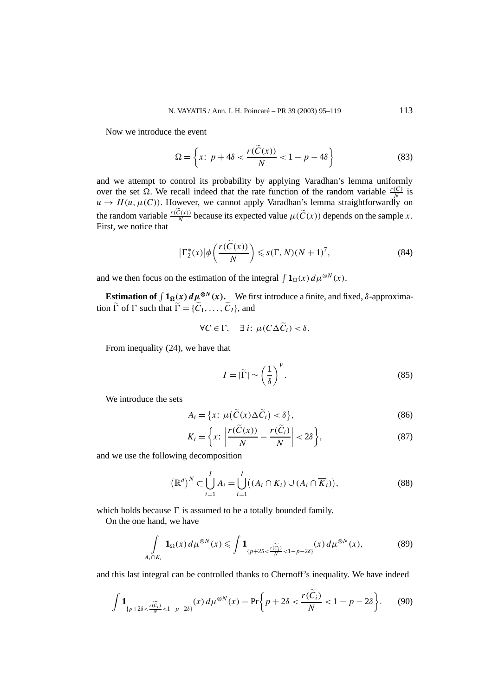Now we introduce the event

$$
\Omega = \left\{ x \colon p + 4\delta < \frac{r(\mathcal{C}(x))}{N} < 1 - p - 4\delta \right\} \tag{83}
$$

and we attempt to control its probability by applying Varadhan's lemma uniformly over the set  $\Omega$ . We recall indeed that the rate function of the random variable  $\frac{r(C)}{N}$  is  $u \to H(u, \mu(C))$ . However, we cannot apply Varadhan's lemma straightforwardly on the random variable  $\frac{r(C(x))}{N}$  because its expected value  $\mu(\widetilde{C}(x))$  depends on the sample *x*. First, we notice that

$$
\left|\Gamma_2^*(x)\right|\phi\left(\frac{r(\tilde{C}(x))}{N}\right) \leqslant s(\Gamma, N)(N+1)^7,\tag{84}
$$

and we then focus on the estimation of the integral  $\int \mathbf{1}_{\Omega}(x) d\mu^{\otimes N}(x)$ .

**Estimation of**  $\int 1_{\Omega}(x) d\mu^{\otimes N}(x)$ . We first introduce a finite, and fixed,  $\delta$ -approximation  $\tilde{\Gamma}$  of  $\Gamma$  such that  $\tilde{\Gamma} = {\tilde{C}_1, \ldots, \tilde{C}_I}$ , and

$$
\forall C \in \Gamma, \quad \exists i: \mu(C\Delta \widetilde{C}_i) < \delta.
$$

From inequality (24), we have that

$$
I = |\tilde{\Gamma}| \sim \left(\frac{1}{\delta}\right)^V.
$$
\n(85)

We introduce the sets

$$
A_i = \{x: \ \mu\big(\widetilde{C}(x)\Delta\widetilde{C}_i\big)<\delta\},\tag{86}
$$

$$
K_i = \left\{ x \colon \left| \frac{r(\tilde{C}(x))}{N} - \frac{r(\tilde{C}_i)}{N} \right| < 2\delta \right\},\tag{87}
$$

and we use the following decomposition

$$
\left(\mathbb{R}^d\right)^N \subset \bigcup_{i=1}^l A_i = \bigcup_{i=1}^l \left((A_i \cap K_i) \cup (A_i \cap \overline{K}_i)\right),\tag{88}
$$

which holds because  $\Gamma$  is assumed to be a totally bounded family.

On the one hand, we have

$$
\int_{A_i \cap K_i} \mathbf{1}_{\Omega}(x) d\mu^{\otimes N}(x) \leqslant \int \mathbf{1}_{\{p+2\delta < \frac{r(\widetilde{C_i})}{N} < 1-p-2\delta\}}(x) d\mu^{\otimes N}(x),\tag{89}
$$

and this last integral can be controlled thanks to Chernoff's inequality. We have indeed

$$
\int \mathbf{1}_{\{p+2\delta < \frac{r(\widetilde{C}_{i})}{N} < 1-p-2\delta\}}(x) d\mu^{\otimes N}(x) = \Pr\bigg\{ p+2\delta < \frac{r(\widetilde{C}_{i})}{N} < 1-p-2\delta \bigg\}.\tag{90}
$$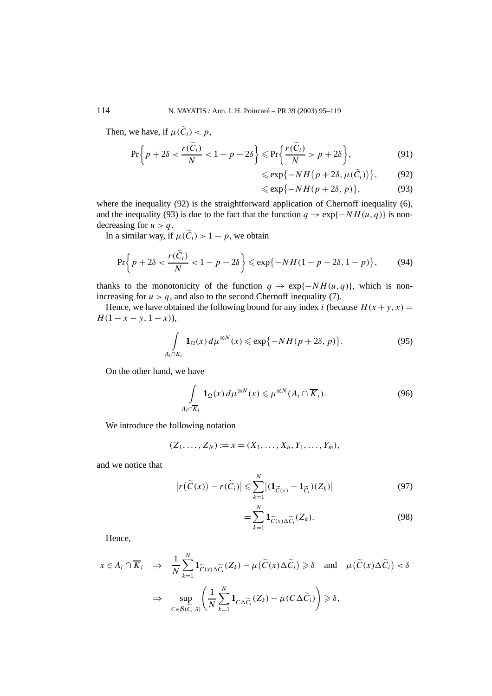Then, we have, if  $\mu(\widetilde{C}_i) < p$ ,

$$
\Pr\bigg\{p+2\delta < \frac{r(\widetilde{C}_i)}{N} < 1 - p - 2\delta\bigg\} \leqslant \Pr\bigg\{\frac{r(\widetilde{C}_i)}{N} > p + 2\delta\bigg\},\tag{91}
$$

$$
\leqslant \exp\{-NH(p+2\delta,\mu(\widetilde{C}_i))\},\qquad(92)
$$

$$
\leqslant \exp\{-NH(p+2\delta, p)\},\tag{93}
$$

where the inequality (92) is the straightforward application of Chernoff inequality (6), and the inequality (93) is due to the fact that the function  $q \to \exp\{-NH(u, q)\}\$ is nondecreasing for  $u > q$ .

In a similar way, if  $\mu(\widetilde{C}_i) > 1 - p$ , we obtain

$$
\Pr\bigg\{p+2\delta < \frac{r(\widetilde{C}_i)}{N} < 1-p-2\delta\bigg\} \leqslant \exp\big\{-NH(1-p-2\delta, 1-p)\big\},\tag{94}
$$

thanks to the monotonicity of the function  $q \to \exp\{-NH(u, q)\}\,$ , which is nonincreasing for  $u > q$ , and also to the second Chernoff inequality (7).

Hence, we have obtained the following bound for any index *i* (because  $H(x + y, x) =$  $H(1-x-y, 1-x)$ ),

$$
\int_{A_i \cap K_i} \mathbf{1}_{\Omega}(x) d\mu^{\otimes N}(x) \leqslant \exp\{-NH(p+2\delta, p)\}.
$$
 (95)

On the other hand, we have

$$
\int_{A_i \cap \overline{K}_i} \mathbf{1}_{\Omega}(x) d\mu^{\otimes N}(x) \leq \mu^{\otimes N}(A_i \cap \overline{K}_i).
$$
 (96)

We introduce the following notation

$$
(Z_1, \ldots, Z_N) := x = (X_1, \ldots, X_n, Y_1, \ldots, Y_m),
$$

and we notice that

$$
|r(\widetilde{C}(x)) - r(\widetilde{C}_i)| \leqslant \sum_{k=1}^N |(\mathbf{1}_{\widetilde{C}(x)} - \mathbf{1}_{\widetilde{C}_i})(Z_k)| \tag{97}
$$

$$
=\sum_{k=1}^{N} \mathbf{1}_{\widetilde{C}(x)\Delta \widetilde{C}_i}(Z_k). \tag{98}
$$

Hence,

$$
x \in A_i \cap \overline{K}_i \implies \frac{1}{N} \sum_{k=1}^N \mathbf{1}_{\widetilde{C}(x)\Delta \widetilde{C}_i}(Z_k) - \mu(\widetilde{C}(x)\Delta \widetilde{C}_i) \ge \delta \quad \text{and} \quad \mu(\widetilde{C}(x)\Delta \widetilde{C}_i) < \delta
$$
  

$$
\implies \sup_{C \in \mathcal{B}(\widetilde{C}_i,\delta)} \left( \frac{1}{N} \sum_{k=1}^N \mathbf{1}_{C\Delta \widetilde{C}_i}(Z_k) - \mu(C\Delta \widetilde{C}_i) \right) \ge \delta,
$$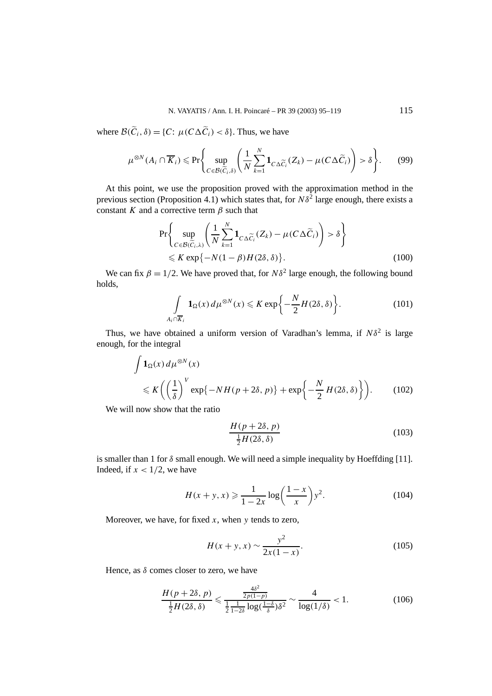where  $\mathcal{B}(\widetilde{C}_i, \delta) = \{C: \mu(C\Delta \widetilde{C}_i) < \delta\}$ . Thus, we have

$$
\mu^{\otimes N}(A_i \cap \overline{K}_i) \le \Pr\Biggl\{\sup_{C \in \mathcal{B}(\widetilde{C}_i, \delta)} \Biggl(\frac{1}{N} \sum_{k=1}^N \mathbf{1}_{C \Delta \widetilde{C}_i} (Z_k) - \mu(C \Delta \widetilde{C}_i) \Biggr) > \delta \Biggr\}.
$$
 (99)

At this point, we use the proposition proved with the approximation method in the previous section (Proposition 4.1) which states that, for  $N\delta^2$  large enough, there exists a constant *K* and a corrective term *β* such that

$$
\Pr\left\{\sup_{C\in\mathcal{B}(\widetilde{C}_{i},\lambda)}\left(\frac{1}{N}\sum_{k=1}^{N}\mathbf{1}_{C\Delta\widetilde{C}_{i}}(Z_{k})-\mu(C\Delta\widetilde{C}_{i})\right)>\delta\right\}
$$
  
\$\leqslant K \exp\{-N(1-\beta)H(2\delta,\delta)\}\$. (100)

We can fix  $\beta = 1/2$ . We have proved that, for  $N\delta^2$  large enough, the following bound holds,

$$
\int_{A_i \cap \overline{K}_i} \mathbf{1}_{\Omega}(x) d\mu^{\otimes N}(x) \leqslant K \exp\bigg\{-\frac{N}{2} H(2\delta, \delta)\bigg\}.
$$
 (101)

Thus, we have obtained a uniform version of Varadhan's lemma, if  $N\delta^2$  is large enough, for the integral

$$
\int \mathbf{1}_{\Omega}(x) d\mu^{\otimes N}(x)
$$
  
\$\leqslant K \left( \left( \frac{1}{\delta} \right)^V \exp\{-NH(p+2\delta, p)\} + \exp\left\{ -\frac{N}{2} H(2\delta, \delta) \right\} \right).\$ (102)

We will now show that the ratio

$$
\frac{H(p+2\delta, p)}{\frac{1}{2}H(2\delta, \delta)}\tag{103}
$$

is smaller than 1 for  $\delta$  small enough. We will need a simple inequality by Hoeffding [11]. Indeed, if  $x < 1/2$ , we have

$$
H(x + y, x) \ge \frac{1}{1 - 2x} \log\left(\frac{1 - x}{x}\right) y^2.
$$
 (104)

Moreover, we have, for fixed *x*, when *y* tends to zero,

$$
H(x+y,x) \sim \frac{y^2}{2x(1-x)}.\tag{105}
$$

Hence, as *δ* comes closer to zero, we have

$$
\frac{H(p+2\delta, p)}{\frac{1}{2}H(2\delta, \delta)} \leq \frac{\frac{4\delta^2}{2p(1-p)}}{\frac{1}{2}\frac{1}{1-2\delta}\log(\frac{1-\delta}{\delta})\delta^2} \sim \frac{4}{\log(1/\delta)} < 1.
$$
 (106)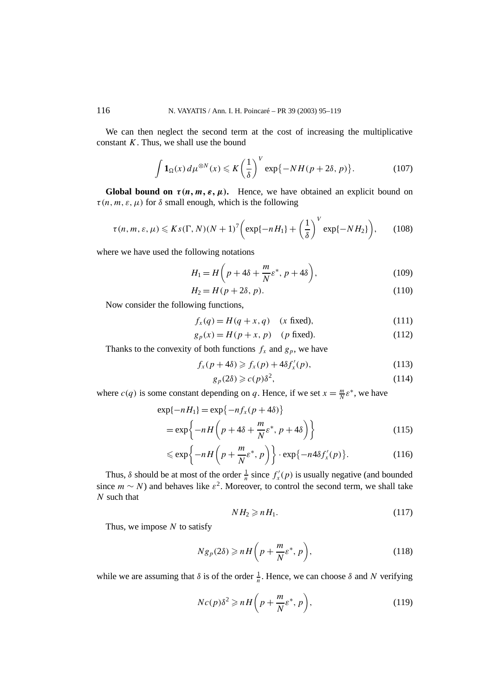We can then neglect the second term at the cost of increasing the multiplicative constant *K*. Thus, we shall use the bound

$$
\int \mathbf{1}_{\Omega}(x) d\mu^{\otimes N}(x) \leqslant K \left(\frac{1}{\delta}\right)^{V} \exp\{-NH(p+2\delta, p)\}.
$$
 (107)

**Global bound on**  $\tau(n, m, \varepsilon, \mu)$ . Hence, we have obtained an explicit bound on  $\tau(n, m, \varepsilon, \mu)$  for  $\delta$  small enough, which is the following

$$
\tau(n,m,\varepsilon,\mu) \leqslant Ks(\Gamma,N)(N+1)^7 \bigg(\exp\{-nH_1\} + \left(\frac{1}{\delta}\right)^V \exp\{-NH_2\}\bigg),\qquad(108)
$$

where we have used the following notations

$$
H_1 = H\left(p + 4\delta + \frac{m}{N}\varepsilon^*, \, p + 4\delta\right),\tag{109}
$$

$$
H_2 = H(p + 2\delta, p). \tag{110}
$$

Now consider the following functions,

$$
f_x(q) = H(q+x, q) \quad (x \text{ fixed}), \tag{111}
$$

$$
g_p(x) = H(p+x, p) \quad (p \text{ fixed}). \tag{112}
$$

Thanks to the convexity of both functions  $f_x$  and  $g_p$ , we have

$$
f_x(p+4\delta) \geqslant f_x(p) + 4\delta f'_x(p),\tag{113}
$$

$$
g_p(2\delta) \geqslant c(p)\delta^2,\tag{114}
$$

where  $c(q)$  is some constant depending on *q*. Hence, if we set  $x = \frac{m}{N} \varepsilon^*$ , we have

$$
\exp\{-nH_1\} = \exp\{-nf_x(p+4\delta)\}\
$$

$$
= \exp\{-nH\left(p+4\delta + \frac{m}{N}\varepsilon^*, p+4\delta\right)\}\
$$
(115)

$$
\leqslant \exp\bigg\{-nH\bigg(p+\frac{m}{N}\varepsilon^*,p\bigg)\bigg\}\cdot \exp\{-n4\delta f'_x(p)\}.\tag{116}
$$

Thus,  $\delta$  should be at most of the order  $\frac{1}{n}$  since  $f'_x(p)$  is usually negative (and bounded since  $m \sim N$ ) and behaves like  $\varepsilon^2$ . Moreover, to control the second term, we shall take *N* such that

$$
NH_2 \geqslant nH_1. \tag{117}
$$

Thus, we impose *N* to satisfy

$$
Ng_p(2\delta) \ge nH\bigg(p + \frac{m}{N}\varepsilon^*, p\bigg),\tag{118}
$$

while we are assuming that  $\delta$  is of the order  $\frac{1}{n}$ . Hence, we can choose  $\delta$  and *N* verifying

$$
Nc(p)\delta^2 \geqslant nH\bigg(p+\frac{m}{N}\varepsilon^*,\,p\bigg),\tag{119}
$$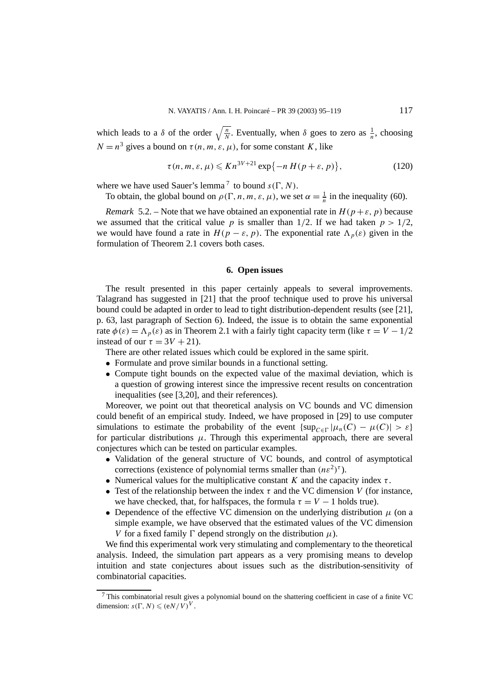which leads to a  $\delta$  of the order  $\sqrt{\frac{n}{N}}$ . Eventually, when  $\delta$  goes to zero as  $\frac{1}{n}$ , choosing  $N = n<sup>3</sup>$  gives a bound on  $\tau(n, m, \varepsilon, \mu)$ , for some constant *K*, like

$$
\tau(n, m, \varepsilon, \mu) \leqslant Kn^{3V+21} \exp\{-n H(p+\varepsilon, p)\},\tag{120}
$$

where we have used Sauer's lemma<sup>7</sup> to bound  $s(\Gamma, N)$ .

To obtain, the global bound on  $\rho(\Gamma, n, m, \varepsilon, \mu)$ , we set  $\alpha = \frac{1}{n}$  in the inequality (60).

*Remark* 5.2. – Note that we have obtained an exponential rate in  $H(p+\varepsilon, p)$  because we assumed that the critical value *p* is smaller than  $1/2$ . If we had taken  $p > 1/2$ , we would have found a rate in  $H(p - \varepsilon, p)$ . The exponential rate  $\Lambda_p(\varepsilon)$  given in the formulation of Theorem 2.1 covers both cases.

#### **6. Open issues**

The result presented in this paper certainly appeals to several improvements. Talagrand has suggested in [21] that the proof technique used to prove his universal bound could be adapted in order to lead to tight distribution-dependent results (see [21], p. 63, last paragraph of Section 6). Indeed, the issue is to obtain the same exponential rate  $\phi(\varepsilon) = \Lambda_n(\varepsilon)$  as in Theorem 2.1 with a fairly tight capacity term (like  $\tau = V - 1/2$ instead of our  $\tau = 3V + 21$ ).

There are other related issues which could be explored in the same spirit.

- Formulate and prove similar bounds in a functional setting.
- Compute tight bounds on the expected value of the maximal deviation, which is a question of growing interest since the impressive recent results on concentration inequalities (see [3,20], and their references).

Moreover, we point out that theoretical analysis on VC bounds and VC dimension could benefit of an empirical study. Indeed, we have proposed in [29] to use computer simulations to estimate the probability of the event  $\{ \sup_{C \in \Gamma} |\mu_n(C) - \mu(C)| > \varepsilon \}$ for particular distributions  $\mu$ . Through this experimental approach, there are several conjectures which can be tested on particular examples.

- Validation of the general structure of VC bounds, and control of asymptotical corrections (existence of polynomial terms smaller than  $(n\varepsilon^2)^{\tau}$ ).
- Numerical values for the multiplicative constant  $K$  and the capacity index  $\tau$ .
- Test of the relationship between the index  $\tau$  and the VC dimension *V* (for instance, we have checked, that, for halfspaces, the formula  $\tau = V - 1$  holds true).
- Dependence of the effective VC dimension on the underlying distribution  $\mu$  (on a simple example, we have observed that the estimated values of the VC dimension *V* for a fixed family  $\Gamma$  depend strongly on the distribution  $\mu$ ).

We find this experimental work very stimulating and complementary to the theoretical analysis. Indeed, the simulation part appears as a very promising means to develop intuition and state conjectures about issues such as the distribution-sensitivity of combinatorial capacities.

<sup>7</sup> This combinatorial result gives a polynomial bound on the shattering coefficient in case of a finite VC dimension:  $s(\Gamma, N) \leq (eN/V)^V$ .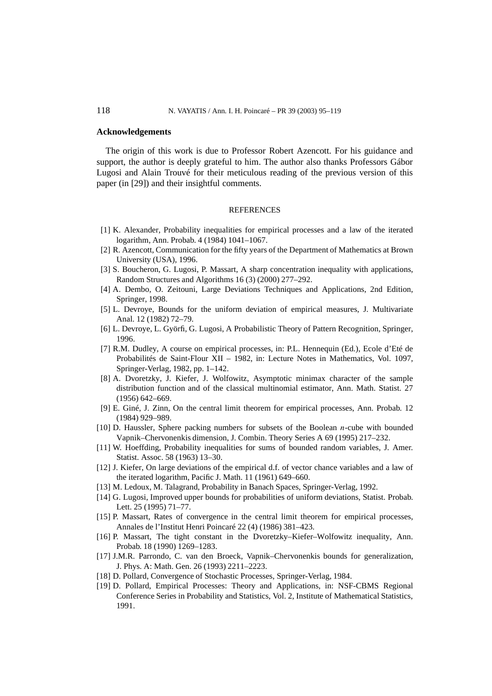#### **Acknowledgements**

The origin of this work is due to Professor Robert Azencott. For his guidance and support, the author is deeply grateful to him. The author also thanks Professors Gábor Lugosi and Alain Trouvé for their meticulous reading of the previous version of this paper (in [29]) and their insightful comments.

#### REFERENCES

- [1] K. Alexander, Probability inequalities for empirical processes and a law of the iterated logarithm, Ann. Probab. 4 (1984) 1041–1067.
- [2] R. Azencott, Communication for the fifty years of the Department of Mathematics at Brown University (USA), 1996.
- [3] S. Boucheron, G. Lugosi, P. Massart, A sharp concentration inequality with applications, Random Structures and Algorithms 16 (3) (2000) 277–292.
- [4] A. Dembo, O. Zeitouni, Large Deviations Techniques and Applications, 2nd Edition, Springer, 1998.
- [5] L. Devroye, Bounds for the uniform deviation of empirical measures, J. Multivariate Anal. 12 (1982) 72–79.
- [6] L. Devroye, L. Györfi, G. Lugosi, A Probabilistic Theory of Pattern Recognition, Springer, 1996.
- [7] R.M. Dudley, A course on empirical processes, in: P.L. Hennequin (Ed.), Ecole d'Eté de Probabilités de Saint-Flour XII – 1982, in: Lecture Notes in Mathematics, Vol. 1097, Springer-Verlag, 1982, pp. 1–142.
- [8] A. Dvoretzky, J. Kiefer, J. Wolfowitz, Asymptotic minimax character of the sample distribution function and of the classical multinomial estimator, Ann. Math. Statist. 27 (1956) 642–669.
- [9] E. Giné, J. Zinn, On the central limit theorem for empirical processes, Ann. Probab. 12 (1984) 929–989.
- [10] D. Haussler, Sphere packing numbers for subsets of the Boolean *n*-cube with bounded Vapnik–Chervonenkis dimension, J. Combin. Theory Series A 69 (1995) 217–232.
- [11] W. Hoeffding, Probability inequalities for sums of bounded random variables, J. Amer. Statist. Assoc. 58 (1963) 13–30.
- [12] J. Kiefer, On large deviations of the empirical d.f. of vector chance variables and a law of the iterated logarithm, Pacific J. Math. 11 (1961) 649–660.
- [13] M. Ledoux, M. Talagrand, Probability in Banach Spaces, Springer-Verlag, 1992.
- [14] G. Lugosi, Improved upper bounds for probabilities of uniform deviations, Statist. Probab. Lett. 25 (1995) 71–77.
- [15] P. Massart, Rates of convergence in the central limit theorem for empirical processes, Annales de l'Institut Henri Poincaré 22 (4) (1986) 381–423.
- [16] P. Massart, The tight constant in the Dvoretzky–Kiefer–Wolfowitz inequality, Ann. Probab. 18 (1990) 1269–1283.
- [17] J.M.R. Parrondo, C. van den Broeck, Vapnik–Chervonenkis bounds for generalization, J. Phys. A: Math. Gen. 26 (1993) 2211–2223.
- [18] D. Pollard, Convergence of Stochastic Processes, Springer-Verlag, 1984.
- [19] D. Pollard, Empirical Processes: Theory and Applications, in: NSF-CBMS Regional Conference Series in Probability and Statistics, Vol. 2, Institute of Mathematical Statistics, 1991.